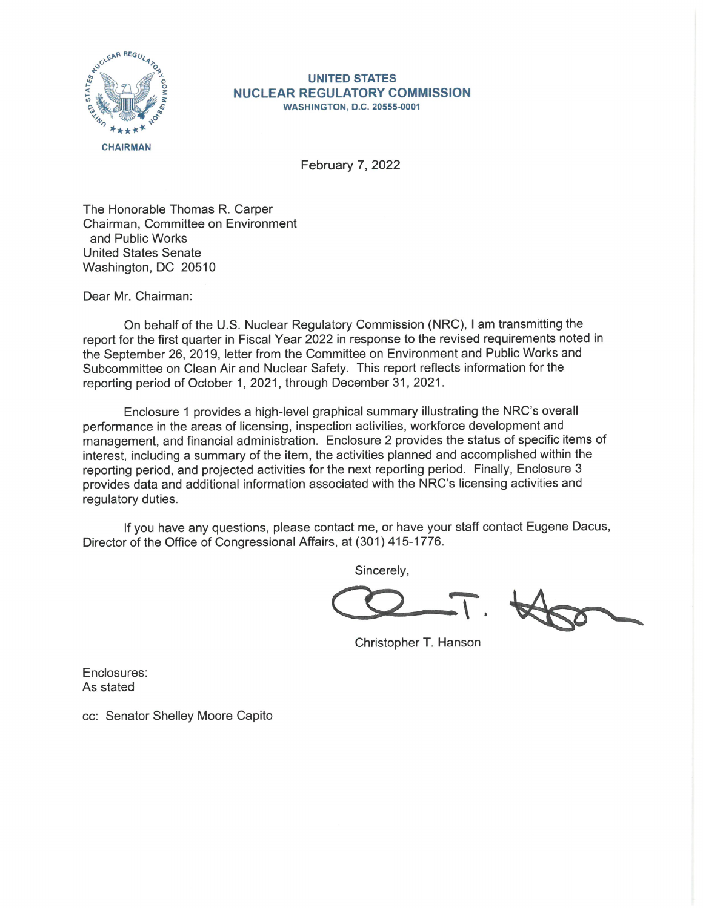

## **UNITED STATES NUCLEAR REGULATORY COMMISSION WASHINGTON, D.C. 20555-0001**

February 7, 2022

The Honorable Thomas R. Carper Chairman, Committee on Environment and Public Works United States Senate Washington, DC 20510

Dear Mr. Chairman:

On behalf of the U.S. Nuclear Regulatory Commission (NRC), I am transmitting the report for the first quarter in Fiscal Year 2022 in response to the revised requirements noted in the September 26, 2019, letter from the Committee on Environment and Public Works and Subcommittee on Clean Air and Nuclear Safety. This report reflects information for the reporting period of October 1, 2021, through December 31, 2021.

Enclosure 1 provides a high-level graphical summary illustrating the NRC's overall performance in the areas of licensing, inspection activities, workforce development and management, and financial administration. Enclosure 2 provides the status of specific items of interest, including a summary of the item, the activities planned and accomplished within the reporting period, and projected activities for the next reporting period. Finally, Enclosure 3 provides data and additional information associated with the NRC's licensing activities and regulatory duties.

If you have any questions, please contact me, or have your staff contact Eugene Dacus, Director of the Office of Congressional Affairs, at (301) 415-1776.

Sincerely,

 $C2-T$ .

Christopher T. Hanson

Enclosures: As stated

cc: Senator Shelley Moore Capito